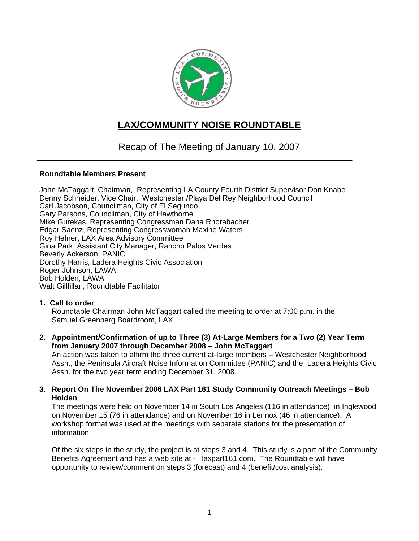

# **LAX/COMMUNITY NOISE ROUNDTABLE**

Recap of The Meeting of January 10, 2007

### **Roundtable Members Present**

John McTaggart, Chairman, Representing LA County Fourth District Supervisor Don Knabe Denny Schneider, Vice Chair, Westchester /Playa Del Rey Neighborhood Council Carl Jacobson, Councilman, City of El Segundo Gary Parsons, Councilman, City of Hawthorne Mike Gurekas, Representing Congressman Dana Rhorabacher Edgar Saenz, Representing Congresswoman Maxine Waters Roy Hefner, LAX Area Advisory Committee Gina Park, Assistant City Manager, Rancho Palos Verdes Beverly Ackerson, PANIC Dorothy Harris, Ladera Heights Civic Association Roger Johnson, LAWA Bob Holden, LAWA Walt Gillfillan, Roundtable Facilitator

## **1. Call to order**

Roundtable Chairman John McTaggart called the meeting to order at 7:00 p.m. in the Samuel Greenberg Boardroom, LAX

**2. Appointment/Confirmation of up to Three (3) At-Large Members for a Two (2) Year Term from January 2007 through December 2008 – John McTaggart** 

An action was taken to affirm the three current at-large members – Westchester Neighborhood Assn.; the Peninsula Aircraft Noise Information Committee (PANIC) and the Ladera Heights Civic Assn. for the two year term ending December 31, 2008.

**3. Report On The November 2006 LAX Part 161 Study Community Outreach Meetings – Bob Holden** 

The meetings were held on November 14 in South Los Angeles (116 in attendance); in Inglewood on November 15 (76 in attendance) and on November 16 in Lennox (46 in attendance). A workshop format was used at the meetings with separate stations for the presentation of information.

Of the six steps in the study, the project is at steps 3 and 4. This study is a part of the Community Benefits Agreement and has a web site at - laxpart161.com. The Roundtable will have opportunity to review/comment on steps 3 (forecast) and 4 (benefit/cost analysis).